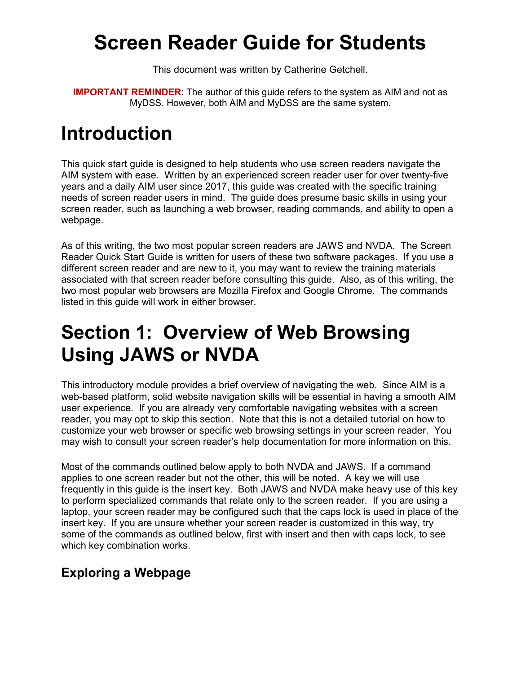# **Screen Reader Guide for Students**

This document was written by Catherine Getchell.

**IMPORTANT REMINDER**: The author of this guide refers to the system as AIM and not as MyDSS. However, both AIM and MyDSS are the same system.

# **Introduction**

This quick start guide is designed to help students who use screen readers navigate the AIM system with ease. Written by an experienced screen reader user for over twenty-five years and a daily AIM user since 2017, this guide was created with the specific training needs of screen reader users in mind. The guide does presume basic skills in using your screen reader, such as launching a web browser, reading commands, and ability to open a webpage.

As of this writing, the two most popular screen readers are JAWS and NVDA. The Screen Reader Quick Start Guide is written for users of these two software packages. If you use a different screen reader and are new to it, you may want to review the training materials associated with that screen reader before consulting this guide. Also, as of this writing, the two most popular web browsers are Mozilla Firefox and Google Chrome. The commands listed in this guide will work in either browser.

# **Section 1: Overview of Web Browsing Using JAWS or NVDA**

This introductory module provides a brief overview of navigating the web. Since AIM is a web-based platform, solid website navigation skills will be essential in having a smooth AIM user experience. If you are already very comfortable navigating websites with a screen reader, you may opt to skip this section. Note that this is not a detailed tutorial on how to customize your web browser or specific web browsing settings in your screen reader. You may wish to consult your screen reader's help documentation for more information on this.

Most of the commands outlined below apply to both NVDA and JAWS. If a command applies to one screen reader but not the other, this will be noted. A key we will use frequently in this guide is the insert key. Both JAWS and NVDA make heavy use of this key to perform specialized commands that relate only to the screen reader. If you are using a laptop, your screen reader may be configured such that the caps lock is used in place of the insert key. If you are unsure whether your screen reader is customized in this way, try some of the commands as outlined below, first with insert and then with caps lock, to see which key combination works.

## **Exploring a Webpage**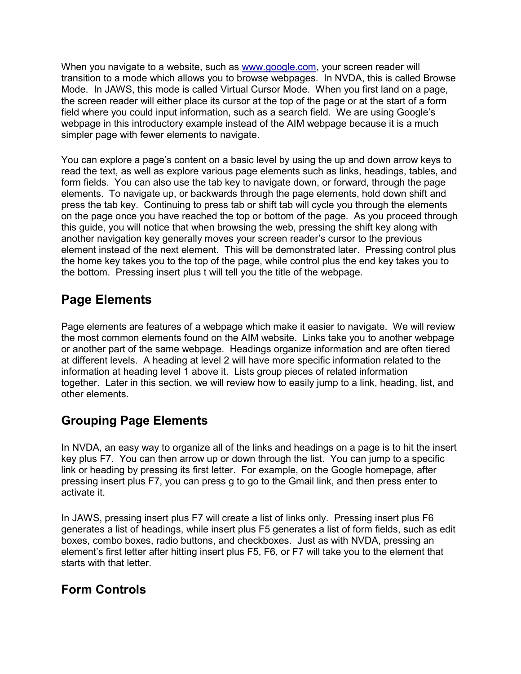When you navigate to a website, such as [www.google.com,](http://www.google.com/) your screen reader will transition to a mode which allows you to browse webpages. In NVDA, this is called Browse Mode. In JAWS, this mode is called Virtual Cursor Mode. When you first land on a page, the screen reader will either place its cursor at the top of the page or at the start of a form field where you could input information, such as a search field. We are using Google's webpage in this introductory example instead of the AIM webpage because it is a much simpler page with fewer elements to navigate.

You can explore a page's content on a basic level by using the up and down arrow keys to read the text, as well as explore various page elements such as links, headings, tables, and form fields. You can also use the tab key to navigate down, or forward, through the page elements. To navigate up, or backwards through the page elements, hold down shift and press the tab key. Continuing to press tab or shift tab will cycle you through the elements on the page once you have reached the top or bottom of the page. As you proceed through this guide, you will notice that when browsing the web, pressing the shift key along with another navigation key generally moves your screen reader's cursor to the previous element instead of the next element. This will be demonstrated later. Pressing control plus the home key takes you to the top of the page, while control plus the end key takes you to the bottom. Pressing insert plus t will tell you the title of the webpage.

## **Page Elements**

Page elements are features of a webpage which make it easier to navigate. We will review the most common elements found on the AIM website. Links take you to another webpage or another part of the same webpage. Headings organize information and are often tiered at different levels. A heading at level 2 will have more specific information related to the information at heading level 1 above it. Lists group pieces of related information together. Later in this section, we will review how to easily jump to a link, heading, list, and other elements.

## **Grouping Page Elements**

In NVDA, an easy way to organize all of the links and headings on a page is to hit the insert key plus F7. You can then arrow up or down through the list. You can jump to a specific link or heading by pressing its first letter. For example, on the Google homepage, after pressing insert plus F7, you can press g to go to the Gmail link, and then press enter to activate it.

In JAWS, pressing insert plus F7 will create a list of links only. Pressing insert plus F6 generates a list of headings, while insert plus F5 generates a list of form fields, such as edit boxes, combo boxes, radio buttons, and checkboxes. Just as with NVDA, pressing an element's first letter after hitting insert plus F5, F6, or F7 will take you to the element that starts with that letter.

### **Form Controls**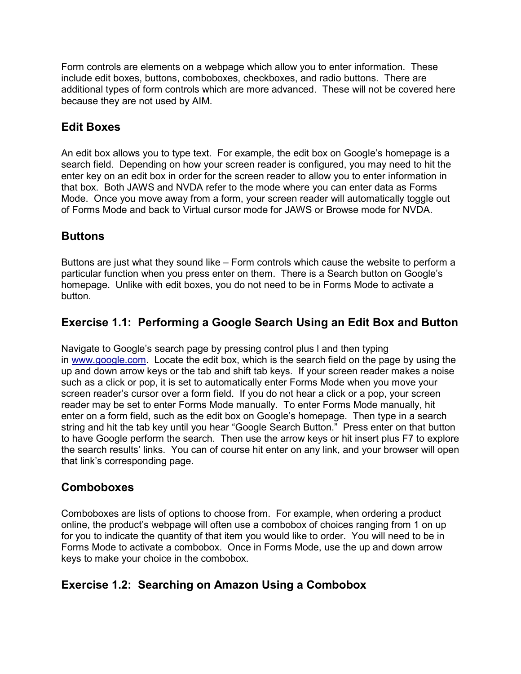Form controls are elements on a webpage which allow you to enter information. These include edit boxes, buttons, comboboxes, checkboxes, and radio buttons. There are additional types of form controls which are more advanced. These will not be covered here because they are not used by AIM.

#### **Edit Boxes**

An edit box allows you to type text. For example, the edit box on Google's homepage is a search field. Depending on how your screen reader is configured, you may need to hit the enter key on an edit box in order for the screen reader to allow you to enter information in that box. Both JAWS and NVDA refer to the mode where you can enter data as Forms Mode. Once you move away from a form, your screen reader will automatically toggle out of Forms Mode and back to Virtual cursor mode for JAWS or Browse mode for NVDA.

#### **Buttons**

Buttons are just what they sound like – Form controls which cause the website to perform a particular function when you press enter on them. There is a Search button on Google's homepage. Unlike with edit boxes, you do not need to be in Forms Mode to activate a button.

#### **Exercise 1.1: Performing a Google Search Using an Edit Box and Button**

Navigate to Google's search page by pressing control plus l and then typing in [www.google.com.](http://www.google.com/) Locate the edit box, which is the search field on the page by using the up and down arrow keys or the tab and shift tab keys. If your screen reader makes a noise such as a click or pop, it is set to automatically enter Forms Mode when you move your screen reader's cursor over a form field. If you do not hear a click or a pop, your screen reader may be set to enter Forms Mode manually. To enter Forms Mode manually, hit enter on a form field, such as the edit box on Google's homepage. Then type in a search string and hit the tab key until you hear "Google Search Button." Press enter on that button to have Google perform the search. Then use the arrow keys or hit insert plus F7 to explore the search results' links. You can of course hit enter on any link, and your browser will open that link's corresponding page.

#### **Comboboxes**

Comboboxes are lists of options to choose from. For example, when ordering a product online, the product's webpage will often use a combobox of choices ranging from 1 on up for you to indicate the quantity of that item you would like to order. You will need to be in Forms Mode to activate a combobox. Once in Forms Mode, use the up and down arrow keys to make your choice in the combobox.

#### **Exercise 1.2: Searching on Amazon Using a Combobox**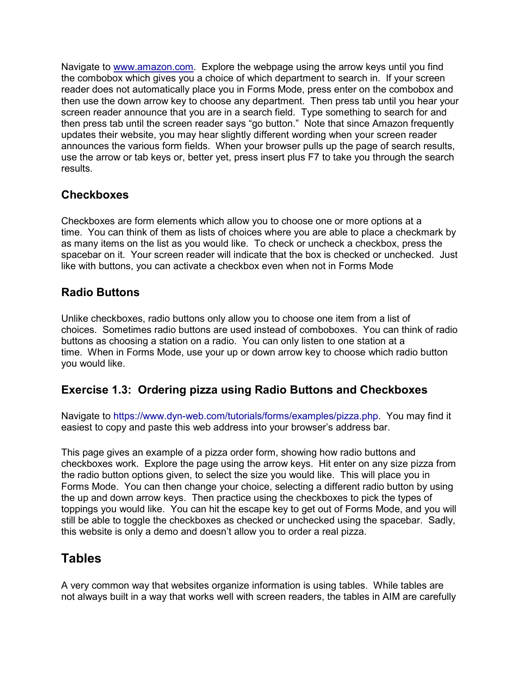Navigate to [www.amazon.com.](http://www.amazon.com/) Explore the webpage using the arrow keys until you find the combobox which gives you a choice of which department to search in. If your screen reader does not automatically place you in Forms Mode, press enter on the combobox and then use the down arrow key to choose any department. Then press tab until you hear your screen reader announce that you are in a search field. Type something to search for and then press tab until the screen reader says "go button." Note that since Amazon frequently updates their website, you may hear slightly different wording when your screen reader announces the various form fields. When your browser pulls up the page of search results, use the arrow or tab keys or, better yet, press insert plus F7 to take you through the search results.

#### **Checkboxes**

Checkboxes are form elements which allow you to choose one or more options at a time. You can think of them as lists of choices where you are able to place a checkmark by as many items on the list as you would like. To check or uncheck a checkbox, press the spacebar on it. Your screen reader will indicate that the box is checked or unchecked. Just like with buttons, you can activate a checkbox even when not in Forms Mode

#### **Radio Buttons**

Unlike checkboxes, radio buttons only allow you to choose one item from a list of choices. Sometimes radio buttons are used instead of comboboxes. You can think of radio buttons as choosing a station on a radio. You can only listen to one station at a time. When in Forms Mode, use your up or down arrow key to choose which radio button you would like.

#### **Exercise 1.3: Ordering pizza using Radio Buttons and Checkboxes**

Navigate to [https://www.dyn-web.com/tutorials/forms/examples/pizza.php.](https://www.dyn-web.com/tutorials/forms/examples/pizza.php) You may find it easiest to copy and paste this web address into your browser's address bar.

This page gives an example of a pizza order form, showing how radio buttons and checkboxes work. Explore the page using the arrow keys. Hit enter on any size pizza from the radio button options given, to select the size you would like. This will place you in Forms Mode. You can then change your choice, selecting a different radio button by using the up and down arrow keys. Then practice using the checkboxes to pick the types of toppings you would like. You can hit the escape key to get out of Forms Mode, and you will still be able to toggle the checkboxes as checked or unchecked using the spacebar. Sadly, this website is only a demo and doesn't allow you to order a real pizza.

### **Tables**

A very common way that websites organize information is using tables. While tables are not always built in a way that works well with screen readers, the tables in AIM are carefully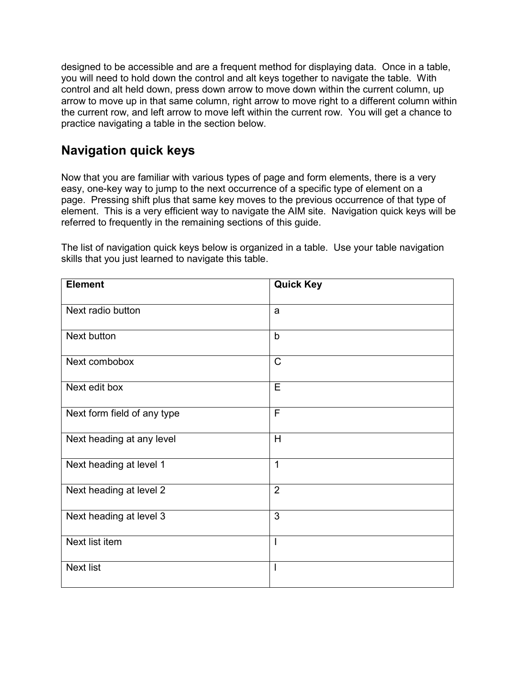designed to be accessible and are a frequent method for displaying data. Once in a table, you will need to hold down the control and alt keys together to navigate the table. With control and alt held down, press down arrow to move down within the current column, up arrow to move up in that same column, right arrow to move right to a different column within the current row, and left arrow to move left within the current row. You will get a chance to practice navigating a table in the section below.

### **Navigation quick keys**

Now that you are familiar with various types of page and form elements, there is a very easy, one-key way to jump to the next occurrence of a specific type of element on a page. Pressing shift plus that same key moves to the previous occurrence of that type of element. This is a very efficient way to navigate the AIM site. Navigation quick keys will be referred to frequently in the remaining sections of this guide.

The list of navigation quick keys below is organized in a table. Use your table navigation skills that you just learned to navigate this table.

| <b>Element</b>              | <b>Quick Key</b> |
|-----------------------------|------------------|
| Next radio button           | a                |
| Next button                 | $\mathsf{b}$     |
| Next combobox               | $\mathsf{C}$     |
| Next edit box               | E                |
| Next form field of any type | F                |
| Next heading at any level   | H                |
| Next heading at level 1     | 1                |
| Next heading at level 2     | $\overline{2}$   |
| Next heading at level 3     | 3                |
| Next list item              | I                |
| Next list                   | $\mathbf{I}$     |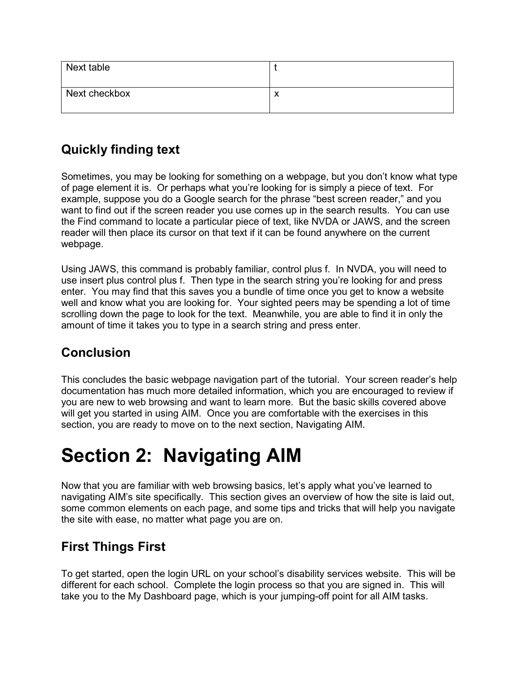| Next table    |  |
|---------------|--|
| Next checkbox |  |

## **Quickly finding text**

Sometimes, you may be looking for something on a webpage, but you don't know what type of page element it is. Or perhaps what you're looking for is simply a piece of text. For example, suppose you do a Google search for the phrase "best screen reader," and you want to find out if the screen reader you use comes up in the search results. You can use the Find command to locate a particular piece of text, like NVDA or JAWS, and the screen reader will then place its cursor on that text if it can be found anywhere on the current webpage.

Using JAWS, this command is probably familiar, control plus f. In NVDA, you will need to use insert plus control plus f. Then type in the search string you're looking for and press enter. You may find that this saves you a bundle of time once you get to know a website well and know what you are looking for. Your sighted peers may be spending a lot of time scrolling down the page to look for the text. Meanwhile, you are able to find it in only the amount of time it takes you to type in a search string and press enter.

### **Conclusion**

This concludes the basic webpage navigation part of the tutorial. Your screen reader's help documentation has much more detailed information, which you are encouraged to review if you are new to web browsing and want to learn more. But the basic skills covered above will get you started in using AIM. Once you are comfortable with the exercises in this section, you are ready to move on to the next section, Navigating AIM.

# **Section 2: Navigating AIM**

Now that you are familiar with web browsing basics, let's apply what you've learned to navigating AIM's site specifically. This section gives an overview of how the site is laid out, some common elements on each page, and some tips and tricks that will help you navigate the site with ease, no matter what page you are on.

### **First Things First**

To get started, open the login URL on your school's disability services website. This will be different for each school. Complete the login process so that you are signed in. This will take you to the My Dashboard page, which is your jumping-off point for all AIM tasks.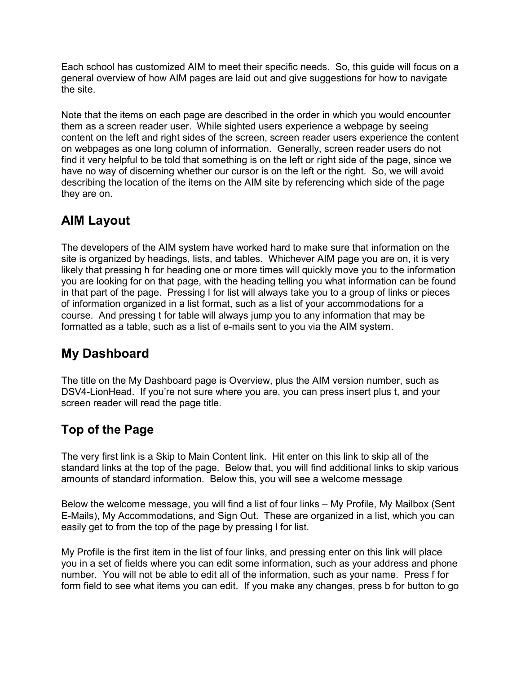Each school has customized AIM to meet their specific needs. So, this guide will focus on a general overview of how AIM pages are laid out and give suggestions for how to navigate the site.

Note that the items on each page are described in the order in which you would encounter them as a screen reader user. While sighted users experience a webpage by seeing content on the left and right sides of the screen, screen reader users experience the content on webpages as one long column of information. Generally, screen reader users do not find it very helpful to be told that something is on the left or right side of the page, since we have no way of discerning whether our cursor is on the left or the right. So, we will avoid describing the location of the items on the AIM site by referencing which side of the page they are on.

## **AIM Layout**

The developers of the AIM system have worked hard to make sure that information on the site is organized by headings, lists, and tables. Whichever AIM page you are on, it is very likely that pressing h for heading one or more times will quickly move you to the information you are looking for on that page, with the heading telling you what information can be found in that part of the page. Pressing l for list will always take you to a group of links or pieces of information organized in a list format, such as a list of your accommodations for a course. And pressing t for table will always jump you to any information that may be formatted as a table, such as a list of e-mails sent to you via the AIM system.

## **My Dashboard**

The title on the My Dashboard page is Overview, plus the AIM version number, such as DSV4-LionHead. If you're not sure where you are, you can press insert plus t, and your screen reader will read the page title.

## **Top of the Page**

The very first link is a Skip to Main Content link. Hit enter on this link to skip all of the standard links at the top of the page. Below that, you will find additional links to skip various amounts of standard information. Below this, you will see a welcome message

Below the welcome message, you will find a list of four links – My Profile, My Mailbox (Sent E-Mails), My Accommodations, and Sign Out. These are organized in a list, which you can easily get to from the top of the page by pressing l for list.

My Profile is the first item in the list of four links, and pressing enter on this link will place you in a set of fields where you can edit some information, such as your address and phone number. You will not be able to edit all of the information, such as your name. Press f for form field to see what items you can edit. If you make any changes, press b for button to go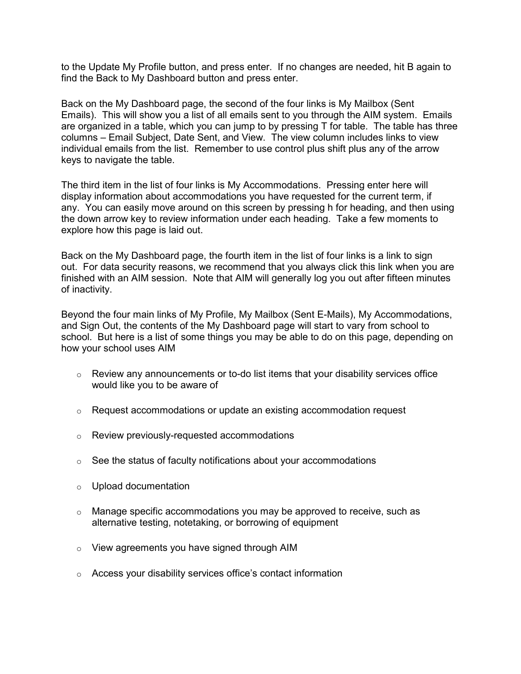to the Update My Profile button, and press enter. If no changes are needed, hit B again to find the Back to My Dashboard button and press enter.

Back on the My Dashboard page, the second of the four links is My Mailbox (Sent Emails). This will show you a list of all emails sent to you through the AIM system. Emails are organized in a table, which you can jump to by pressing T for table. The table has three columns – Email Subject, Date Sent, and View. The view column includes links to view individual emails from the list. Remember to use control plus shift plus any of the arrow keys to navigate the table.

The third item in the list of four links is My Accommodations. Pressing enter here will display information about accommodations you have requested for the current term, if any. You can easily move around on this screen by pressing h for heading, and then using the down arrow key to review information under each heading. Take a few moments to explore how this page is laid out.

Back on the My Dashboard page, the fourth item in the list of four links is a link to sign out. For data security reasons, we recommend that you always click this link when you are finished with an AIM session. Note that AIM will generally log you out after fifteen minutes of inactivity.

Beyond the four main links of My Profile, My Mailbox (Sent E-Mails), My Accommodations, and Sign Out, the contents of the My Dashboard page will start to vary from school to school. But here is a list of some things you may be able to do on this page, depending on how your school uses AIM

- $\circ$  Review any announcements or to-do list items that your disability services office would like you to be aware of
- $\circ$  Request accommodations or update an existing accommodation request
- o Review previously-requested accommodations
- $\circ$  See the status of faculty notifications about your accommodations
- o Upload documentation
- $\circ$  Manage specific accommodations you may be approved to receive, such as alternative testing, notetaking, or borrowing of equipment
- o View agreements you have signed through AIM
- o Access your disability services office's contact information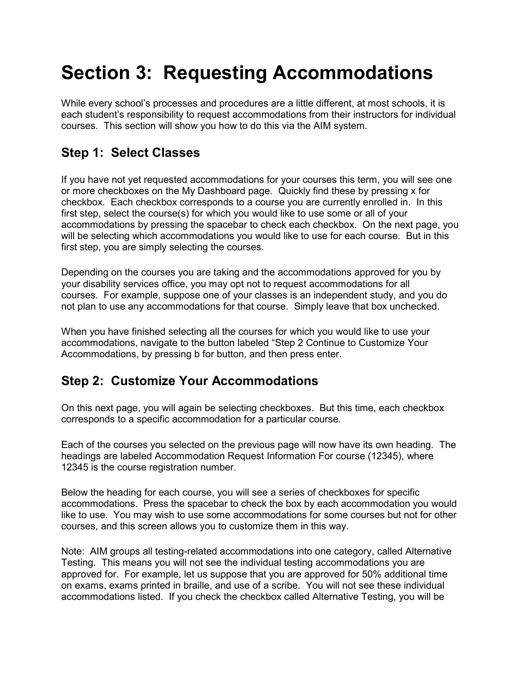# **Section 3: Requesting Accommodations**

While every school's processes and procedures are a little different, at most schools, it is each student's responsibility to request accommodations from their instructors for individual courses. This section will show you how to do this via the AIM system.

## **Step 1: Select Classes**

If you have not yet requested accommodations for your courses this term, you will see one or more checkboxes on the My Dashboard page. Quickly find these by pressing x for checkbox. Each checkbox corresponds to a course you are currently enrolled in. In this first step, select the course(s) for which you would like to use some or all of your accommodations by pressing the spacebar to check each checkbox. On the next page, you will be selecting which accommodations you would like to use for each course. But in this first step, you are simply selecting the courses.

Depending on the courses you are taking and the accommodations approved for you by your disability services office, you may opt not to request accommodations for all courses. For example, suppose one of your classes is an independent study, and you do not plan to use any accommodations for that course. Simply leave that box unchecked.

When you have finished selecting all the courses for which you would like to use your accommodations, navigate to the button labeled "Step 2 Continue to Customize Your Accommodations, by pressing b for button, and then press enter.

### **Step 2: Customize Your Accommodations**

On this next page, you will again be selecting checkboxes. But this time, each checkbox corresponds to a specific accommodation for a particular course.

Each of the courses you selected on the previous page will now have its own heading. The headings are labeled Accommodation Request Information For course (12345), where 12345 is the course registration number.

Below the heading for each course, you will see a series of checkboxes for specific accommodations. Press the spacebar to check the box by each accommodation you would like to use. You may wish to use some accommodations for some courses but not for other courses, and this screen allows you to customize them in this way.

Note: AIM groups all testing-related accommodations into one category, called Alternative Testing. This means you will not see the individual testing accommodations you are approved for. For example, let us suppose that you are approved for 50% additional time on exams, exams printed in braille, and use of a scribe. You will not see these individual accommodations listed. If you check the checkbox called Alternative Testing, you will be